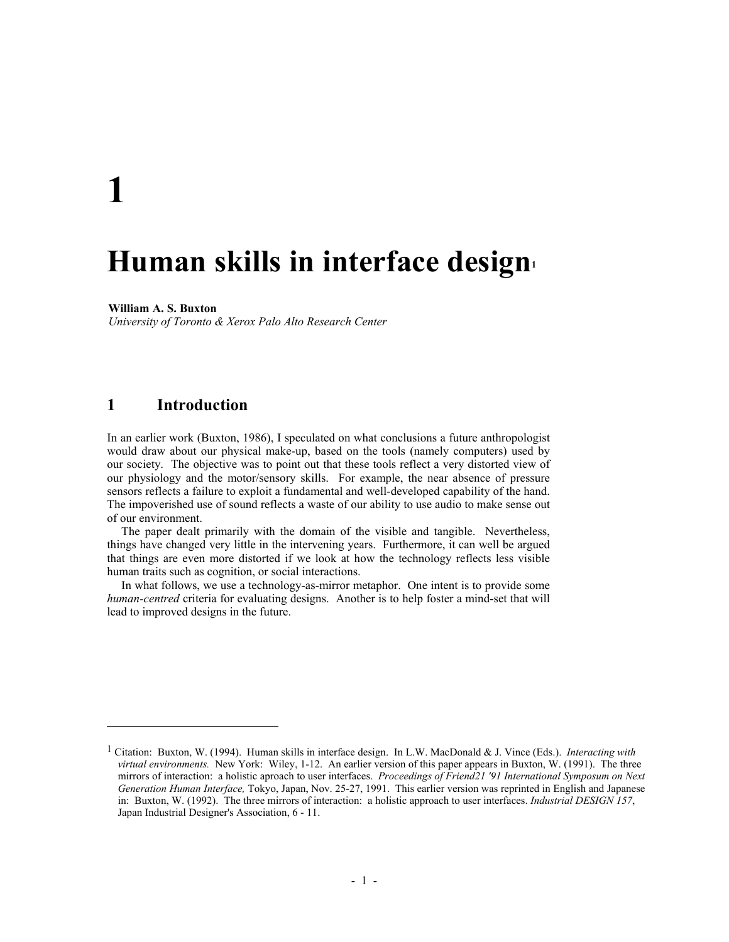# **1**

 $\overline{\phantom{a}}$ 

## **Human skills in interface desig[n1](#page-0-0)**

## **William A. S. Buxton**

*University of Toronto & Xerox Palo Alto Research Center* 

## **1 Introduction**

In an earlier work (Buxton, 1986), I speculated on what conclusions a future anthropologist would draw about our physical make-up, based on the tools (namely computers) used by our society. The objective was to point out that these tools reflect a very distorted view of our physiology and the motor/sensory skills. For example, the near absence of pressure sensors reflects a failure to exploit a fundamental and well-developed capability of the hand. The impoverished use of sound reflects a waste of our ability to use audio to make sense out of our environment.

The paper dealt primarily with the domain of the visible and tangible. Nevertheless, things have changed very little in the intervening years. Furthermore, it can well be argued that things are even more distorted if we look at how the technology reflects less visible human traits such as cognition, or social interactions.

In what follows, we use a technology-as-mirror metaphor. One intent is to provide some *human-centred* criteria for evaluating designs. Another is to help foster a mind-set that will lead to improved designs in the future.

<span id="page-0-0"></span><sup>1</sup> Citation: Buxton, W. (1994). Human skills in interface design. In L.W. MacDonald & J. Vince (Eds.). *Interacting with virtual environments.* New York: Wiley, 1-12. An earlier version of this paper appears in Buxton, W. (1991). The three mirrors of interaction: a holistic aproach to user interfaces. *Proceedings of Friend21 '91 International Symposum on Next Generation Human Interface,* Tokyo, Japan, Nov. 25-27, 1991. This earlier version was reprinted in English and Japanese in: Buxton, W. (1992). The three mirrors of interaction: a holistic approach to user interfaces. *Industrial DESIGN 157*, Japan Industrial Designer's Association, 6 - 11.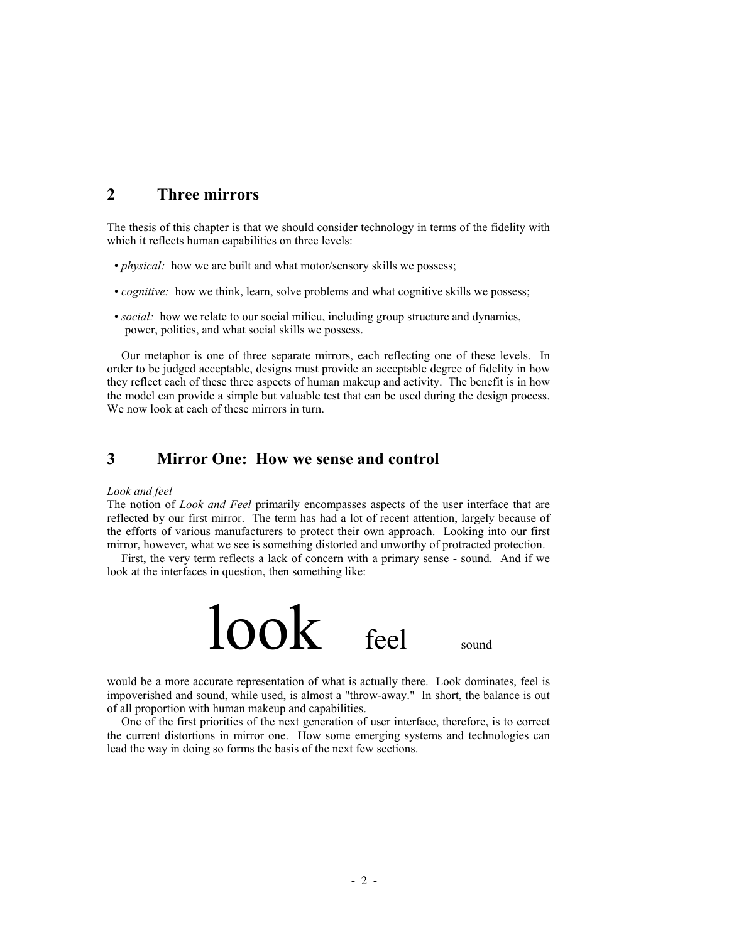## **2 Three mirrors**

The thesis of this chapter is that we should consider technology in terms of the fidelity with which it reflects human capabilities on three levels:

- *physical:* how we are built and what motor/sensory skills we possess;
- *cognitive:* how we think, learn, solve problems and what cognitive skills we possess;
- *social:* how we relate to our social milieu, including group structure and dynamics, power, politics, and what social skills we possess.

Our metaphor is one of three separate mirrors, each reflecting one of these levels. In order to be judged acceptable, designs must provide an acceptable degree of fidelity in how they reflect each of these three aspects of human makeup and activity. The benefit is in how the model can provide a simple but valuable test that can be used during the design process. We now look at each of these mirrors in turn.

## **3 Mirror One: How we sense and control**

## *Look and feel*

The notion of *Look and Feel* primarily encompasses aspects of the user interface that are reflected by our first mirror. The term has had a lot of recent attention, largely because of the efforts of various manufacturers to protect their own approach. Looking into our first mirror, however, what we see is something distorted and unworthy of protracted protection.

First, the very term reflects a lack of concern with a primary sense - sound. And if we look at the interfaces in question, then something like:



would be a more accurate representation of what is actually there. Look dominates, feel is impoverished and sound, while used, is almost a "throw-away." In short, the balance is out of all proportion with human makeup and capabilities.

One of the first priorities of the next generation of user interface, therefore, is to correct the current distortions in mirror one. How some emerging systems and technologies can lead the way in doing so forms the basis of the next few sections.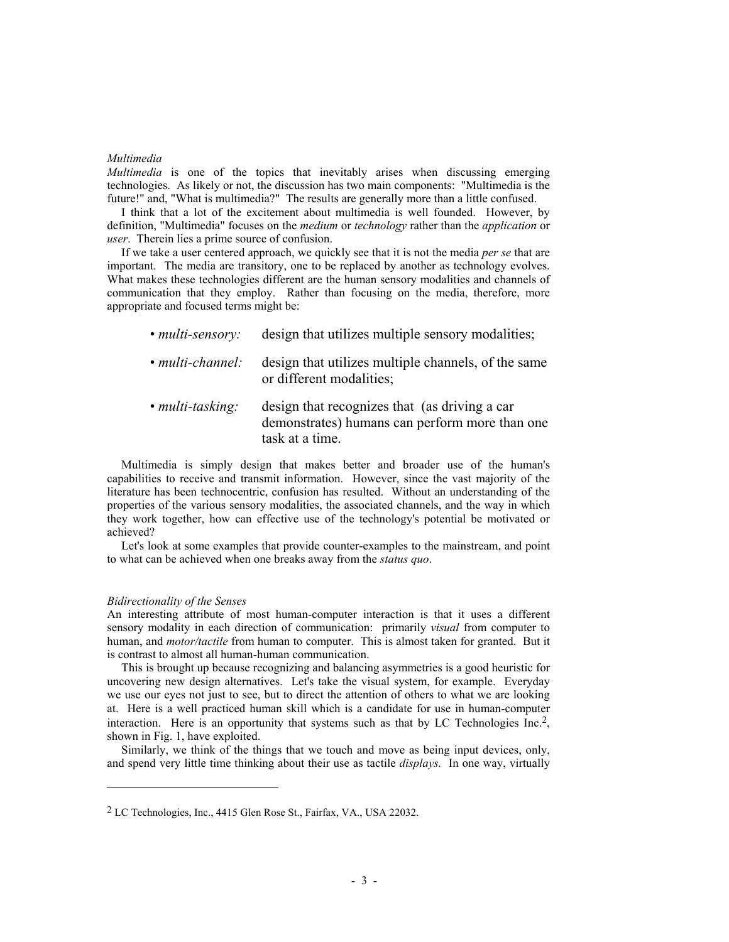## *Multimedia*

*Multimedia* is one of the topics that inevitably arises when discussing emerging technologies. As likely or not, the discussion has two main components: "Multimedia is the future!" and, "What is multimedia?" The results are generally more than a little confused.

I think that a lot of the excitement about multimedia is well founded. However, by definition, "Multimedia" focuses on the *medium* or *technology* rather than the *application* or *user*. Therein lies a prime source of confusion.

If we take a user centered approach, we quickly see that it is not the media *per se* that are important. The media are transitory, one to be replaced by another as technology evolves. What makes these technologies different are the human sensory modalities and channels of communication that they employ. Rather than focusing on the media, therefore, more appropriate and focused terms might be:

| • multi-sensory:       | design that utilizes multiple sensory modalities;                                                                  |
|------------------------|--------------------------------------------------------------------------------------------------------------------|
| $\cdot$ multi-channel: | design that utilizes multiple channels, of the same<br>or different modalities;                                    |
| • $multi$ -tasking:    | design that recognizes that (as driving a car<br>demonstrates) humans can perform more than one<br>task at a time. |

Multimedia is simply design that makes better and broader use of the human's capabilities to receive and transmit information. However, since the vast majority of the literature has been technocentric, confusion has resulted. Without an understanding of the properties of the various sensory modalities, the associated channels, and the way in which they work together, how can effective use of the technology's potential be motivated or achieved?

Let's look at some examples that provide counter-examples to the mainstream, and point to what can be achieved when one breaks away from the *status quo*.

## *Bidirectionality of the Senses*

-

An interesting attribute of most human-computer interaction is that it uses a different sensory modality in each direction of communication: primarily *visual* from computer to human, and *motor/tactile* from human to computer. This is almost taken for granted. But it is contrast to almost all human-human communication.

This is brought up because recognizing and balancing asymmetries is a good heuristic for uncovering new design alternatives. Let's take the visual system, for example. Everyday we use our eyes not just to see, but to direct the attention of others to what we are looking at. Here is a well practiced human skill which is a candidate for use in human-computer interaction. Here is an opportunity that systems such as that by LC Technologies Inc.<sup>2</sup>, shown in Fig. 1, have exploited.

Similarly, we think of the things that we touch and move as being input devices, only, and spend very little time thinking about their use as tactile *displays.* In one way, virtually

<span id="page-2-0"></span><sup>2</sup> LC Technologies, Inc., 4415 Glen Rose St., Fairfax, VA., USA 22032.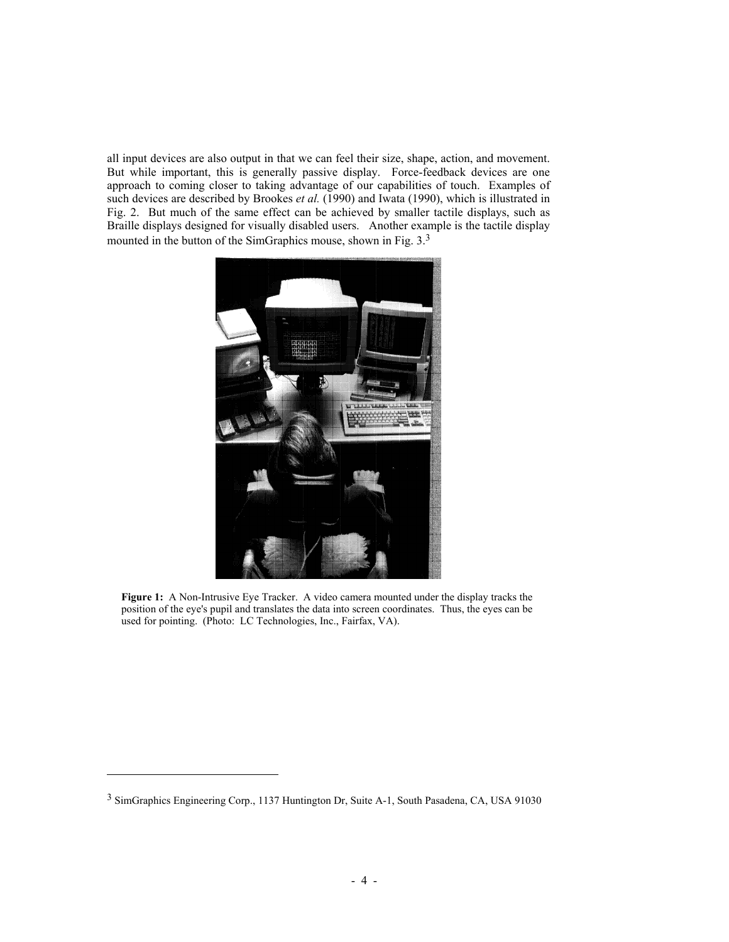all input devices are also output in that we can feel their size, shape, action, and movement. But while important, this is generally passive display. Force-feedback devices are one approach to coming closer to taking advantage of our capabilities of touch. Examples of such devices are described by Brookes *et al.* (1990) and Iwata (1990), which is illustrated in Fig. 2. But much of the same effect can be achieved by smaller tactile displays, such as Braille displays designed for visually disabled users. Another example is the tactile display mounted in the button of the SimGraphics mouse, shown in Fig. [3](#page-3-0).<sup>3</sup>



**Figure 1:** A Non-Intrusive Eye Tracker. A video camera mounted under the display tracks the position of the eye's pupil and translates the data into screen coordinates. Thus, the eyes can be used for pointing. (Photo: LC Technologies, Inc., Fairfax, VA).

 $\overline{\phantom{a}}$ 

<span id="page-3-0"></span><sup>3</sup> SimGraphics Engineering Corp., 1137 Huntington Dr, Suite A-1, South Pasadena, CA, USA 91030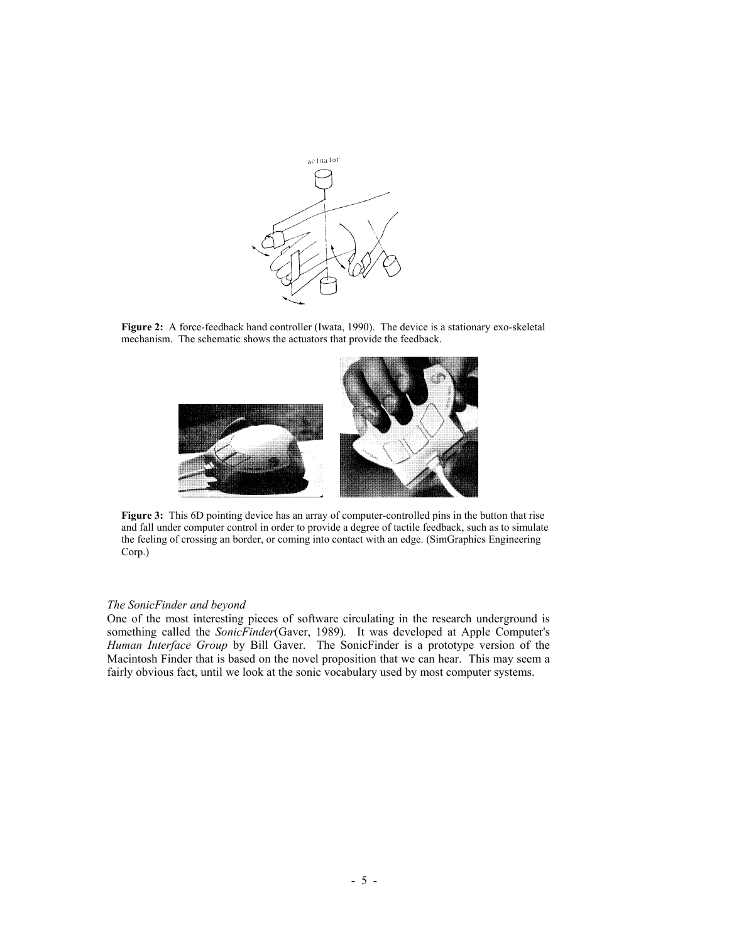

Figure 2: A force-feedback hand controller (Iwata, 1990). The device is a stationary exo-skeletal mechanism. The schematic shows the actuators that provide the feedback.



**Figure 3:** This 6D pointing device has an array of computer-controlled pins in the button that rise and fall under computer control in order to provide a degree of tactile feedback, such as to simulate the feeling of crossing an border, or coming into contact with an edge. (SimGraphics Engineering Corp.)

#### *The SonicFinder and beyond*

One of the most interesting pieces of software circulating in the research underground is something called the *SonicFinder*(Gaver, 1989)*.* It was developed at Apple Computer's *Human Interface Group* by Bill Gaver. The SonicFinder is a prototype version of the Macintosh Finder that is based on the novel proposition that we can hear. This may seem a fairly obvious fact, until we look at the sonic vocabulary used by most computer systems.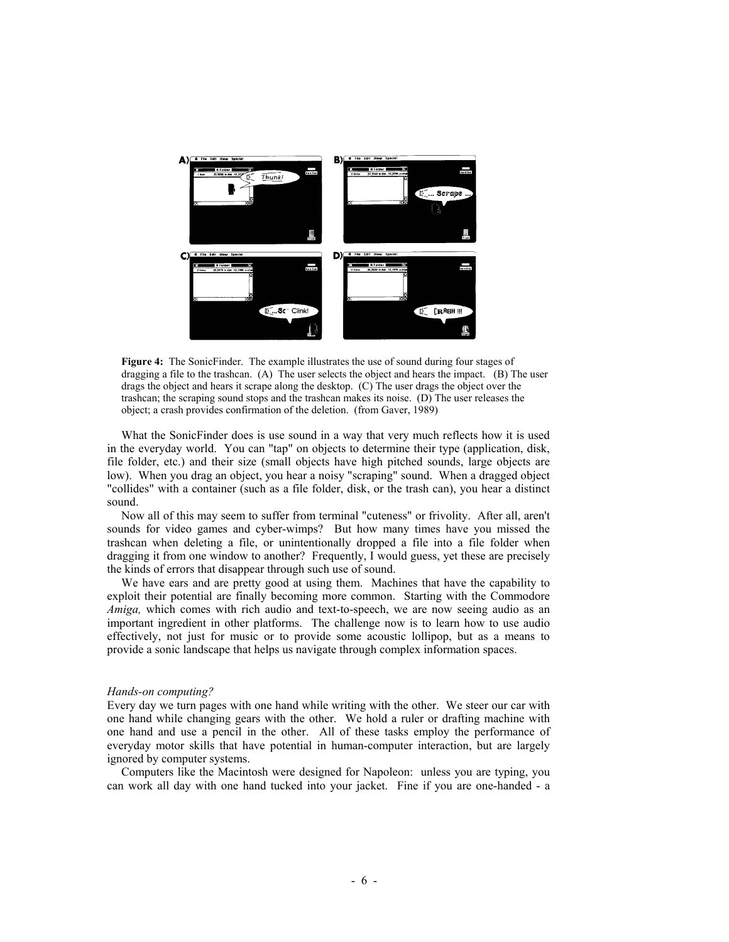

**Figure 4:** The SonicFinder. The example illustrates the use of sound during four stages of dragging a file to the trashcan. (A) The user selects the object and hears the impact. (B) The user drags the object and hears it scrape along the desktop. (C) The user drags the object over the trashcan; the scraping sound stops and the trashcan makes its noise. (D) The user releases the object; a crash provides confirmation of the deletion. (from Gaver, 1989)

What the SonicFinder does is use sound in a way that very much reflects how it is used in the everyday world. You can "tap" on objects to determine their type (application, disk, file folder, etc.) and their size (small objects have high pitched sounds, large objects are low). When you drag an object, you hear a noisy "scraping" sound. When a dragged object "collides" with a container (such as a file folder, disk, or the trash can), you hear a distinct sound.

Now all of this may seem to suffer from terminal "cuteness" or frivolity. After all, aren't sounds for video games and cyber-wimps? But how many times have you missed the trashcan when deleting a file, or unintentionally dropped a file into a file folder when dragging it from one window to another? Frequently, I would guess, yet these are precisely the kinds of errors that disappear through such use of sound.

We have ears and are pretty good at using them. Machines that have the capability to exploit their potential are finally becoming more common. Starting with the Commodore *Amiga,* which comes with rich audio and text-to-speech, we are now seeing audio as an important ingredient in other platforms. The challenge now is to learn how to use audio effectively, not just for music or to provide some acoustic lollipop, but as a means to provide a sonic landscape that helps us navigate through complex information spaces.

#### *Hands-on computing?*

Every day we turn pages with one hand while writing with the other. We steer our car with one hand while changing gears with the other. We hold a ruler or drafting machine with one hand and use a pencil in the other. All of these tasks employ the performance of everyday motor skills that have potential in human-computer interaction, but are largely ignored by computer systems.

Computers like the Macintosh were designed for Napoleon: unless you are typing, you can work all day with one hand tucked into your jacket. Fine if you are one-handed - a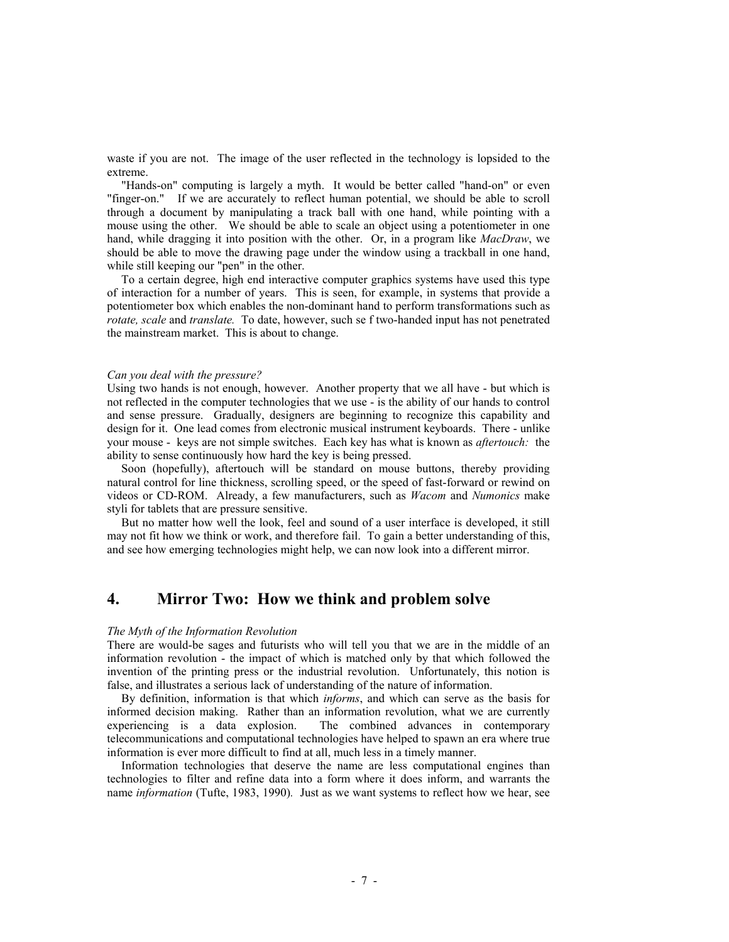waste if you are not. The image of the user reflected in the technology is lopsided to the extreme.

"Hands-on" computing is largely a myth. It would be better called "hand-on" or even "finger-on." If we are accurately to reflect human potential, we should be able to scroll through a document by manipulating a track ball with one hand, while pointing with a mouse using the other. We should be able to scale an object using a potentiometer in one hand, while dragging it into position with the other. Or, in a program like *MacDraw*, we should be able to move the drawing page under the window using a trackball in one hand, while still keeping our "pen" in the other.

To a certain degree, high end interactive computer graphics systems have used this type of interaction for a number of years. This is seen, for example, in systems that provide a potentiometer box which enables the non-dominant hand to perform transformations such as *rotate, scale* and *translate.* To date, however, such se f two-handed input has not penetrated the mainstream market. This is about to change.

#### *Can you deal with the pressure?*

Using two hands is not enough, however. Another property that we all have - but which is not reflected in the computer technologies that we use - is the ability of our hands to control and sense pressure. Gradually, designers are beginning to recognize this capability and design for it. One lead comes from electronic musical instrument keyboards. There - unlike your mouse - keys are not simple switches. Each key has what is known as *aftertouch:* the ability to sense continuously how hard the key is being pressed.

Soon (hopefully), aftertouch will be standard on mouse buttons, thereby providing natural control for line thickness, scrolling speed, or the speed of fast-forward or rewind on videos or CD-ROM. Already, a few manufacturers, such as *Wacom* and *Numonics* make styli for tablets that are pressure sensitive.

But no matter how well the look, feel and sound of a user interface is developed, it still may not fit how we think or work, and therefore fail. To gain a better understanding of this, and see how emerging technologies might help, we can now look into a different mirror.

## **4. Mirror Two: How we think and problem solve**

### *The Myth of the Information Revolution*

There are would-be sages and futurists who will tell you that we are in the middle of an information revolution - the impact of which is matched only by that which followed the invention of the printing press or the industrial revolution. Unfortunately, this notion is false, and illustrates a serious lack of understanding of the nature of information.

By definition, information is that which *informs*, and which can serve as the basis for informed decision making. Rather than an information revolution, what we are currently experiencing is a data explosion. The combined advances in contemporary telecommunications and computational technologies have helped to spawn an era where true information is ever more difficult to find at all, much less in a timely manner.

Information technologies that deserve the name are less computational engines than technologies to filter and refine data into a form where it does inform, and warrants the name *information* (Tufte, 1983, 1990)*.* Just as we want systems to reflect how we hear, see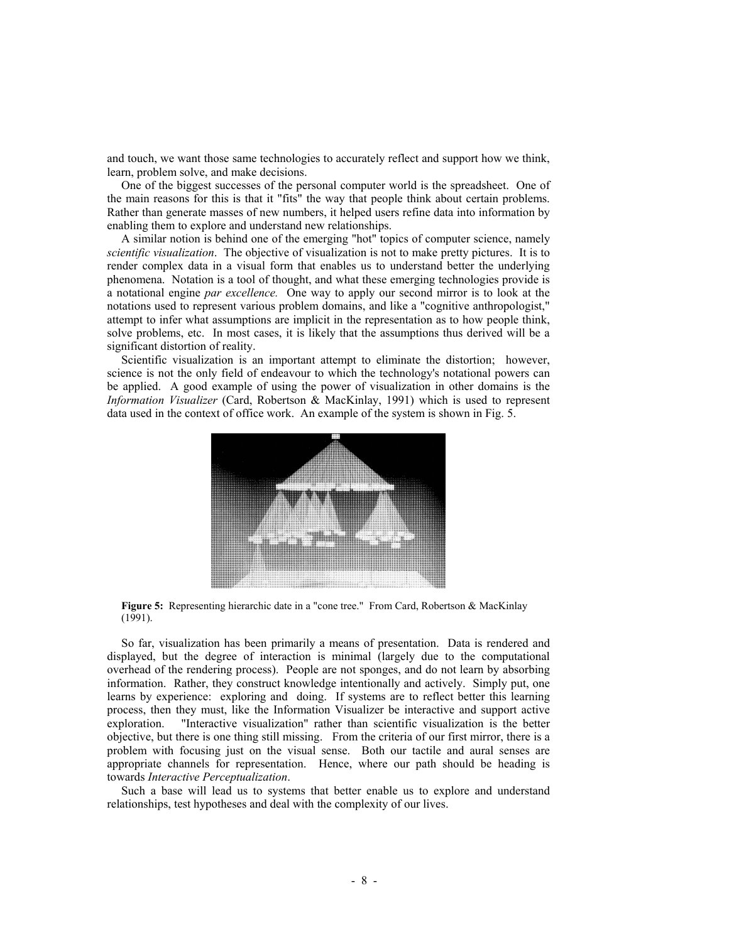and touch, we want those same technologies to accurately reflect and support how we think, learn, problem solve, and make decisions.

One of the biggest successes of the personal computer world is the spreadsheet. One of the main reasons for this is that it "fits" the way that people think about certain problems. Rather than generate masses of new numbers, it helped users refine data into information by enabling them to explore and understand new relationships.

A similar notion is behind one of the emerging "hot" topics of computer science, namely *scientific visualization*. The objective of visualization is not to make pretty pictures. It is to render complex data in a visual form that enables us to understand better the underlying phenomena. Notation is a tool of thought, and what these emerging technologies provide is a notational engine *par excellence.* One way to apply our second mirror is to look at the notations used to represent various problem domains, and like a "cognitive anthropologist," attempt to infer what assumptions are implicit in the representation as to how people think, solve problems, etc. In most cases, it is likely that the assumptions thus derived will be a significant distortion of reality.

Scientific visualization is an important attempt to eliminate the distortion; however, science is not the only field of endeavour to which the technology's notational powers can be applied. A good example of using the power of visualization in other domains is the *Information Visualizer* (Card, Robertson & MacKinlay, 1991) which is used to represent data used in the context of office work. An example of the system is shown in Fig. 5.



**Figure 5:** Representing hierarchic date in a "cone tree." From Card, Robertson & MacKinlay (1991).

So far, visualization has been primarily a means of presentation. Data is rendered and displayed, but the degree of interaction is minimal (largely due to the computational overhead of the rendering process). People are not sponges, and do not learn by absorbing information. Rather, they construct knowledge intentionally and actively. Simply put, one learns by experience: exploring and doing. If systems are to reflect better this learning process, then they must, like the Information Visualizer be interactive and support active exploration. "Interactive visualization" rather than scientific visualization is the better "Interactive visualization" rather than scientific visualization is the better objective, but there is one thing still missing. From the criteria of our first mirror, there is a problem with focusing just on the visual sense. Both our tactile and aural senses are appropriate channels for representation. Hence, where our path should be heading is towards *Interactive Perceptualization*.

Such a base will lead us to systems that better enable us to explore and understand relationships, test hypotheses and deal with the complexity of our lives.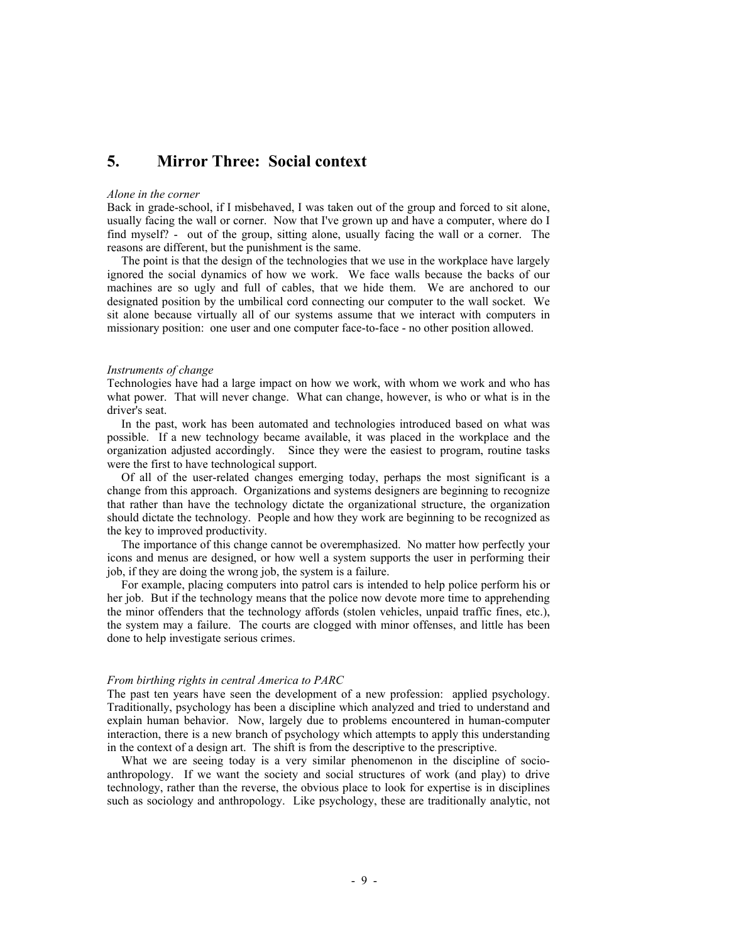## **5. Mirror Three: Social context**

#### *Alone in the corner*

Back in grade-school, if I misbehaved, I was taken out of the group and forced to sit alone, usually facing the wall or corner. Now that I've grown up and have a computer, where do I find myself? - out of the group, sitting alone, usually facing the wall or a corner. The reasons are different, but the punishment is the same.

The point is that the design of the technologies that we use in the workplace have largely ignored the social dynamics of how we work. We face walls because the backs of our machines are so ugly and full of cables, that we hide them. We are anchored to our designated position by the umbilical cord connecting our computer to the wall socket. We sit alone because virtually all of our systems assume that we interact with computers in missionary position: one user and one computer face-to-face - no other position allowed.

#### *Instruments of change*

Technologies have had a large impact on how we work, with whom we work and who has what power. That will never change. What can change, however, is who or what is in the driver's seat.

In the past, work has been automated and technologies introduced based on what was possible. If a new technology became available, it was placed in the workplace and the organization adjusted accordingly. Since they were the easiest to program, routine tasks were the first to have technological support.

Of all of the user-related changes emerging today, perhaps the most significant is a change from this approach. Organizations and systems designers are beginning to recognize that rather than have the technology dictate the organizational structure, the organization should dictate the technology. People and how they work are beginning to be recognized as the key to improved productivity.

The importance of this change cannot be overemphasized. No matter how perfectly your icons and menus are designed, or how well a system supports the user in performing their job, if they are doing the wrong job, the system is a failure.

For example, placing computers into patrol cars is intended to help police perform his or her job. But if the technology means that the police now devote more time to apprehending the minor offenders that the technology affords (stolen vehicles, unpaid traffic fines, etc.), the system may a failure. The courts are clogged with minor offenses, and little has been done to help investigate serious crimes.

#### *From birthing rights in central America to PARC*

The past ten years have seen the development of a new profession: applied psychology. Traditionally, psychology has been a discipline which analyzed and tried to understand and explain human behavior. Now, largely due to problems encountered in human-computer interaction, there is a new branch of psychology which attempts to apply this understanding in the context of a design art. The shift is from the descriptive to the prescriptive.

What we are seeing today is a very similar phenomenon in the discipline of socioanthropology. If we want the society and social structures of work (and play) to drive technology, rather than the reverse, the obvious place to look for expertise is in disciplines such as sociology and anthropology. Like psychology, these are traditionally analytic, not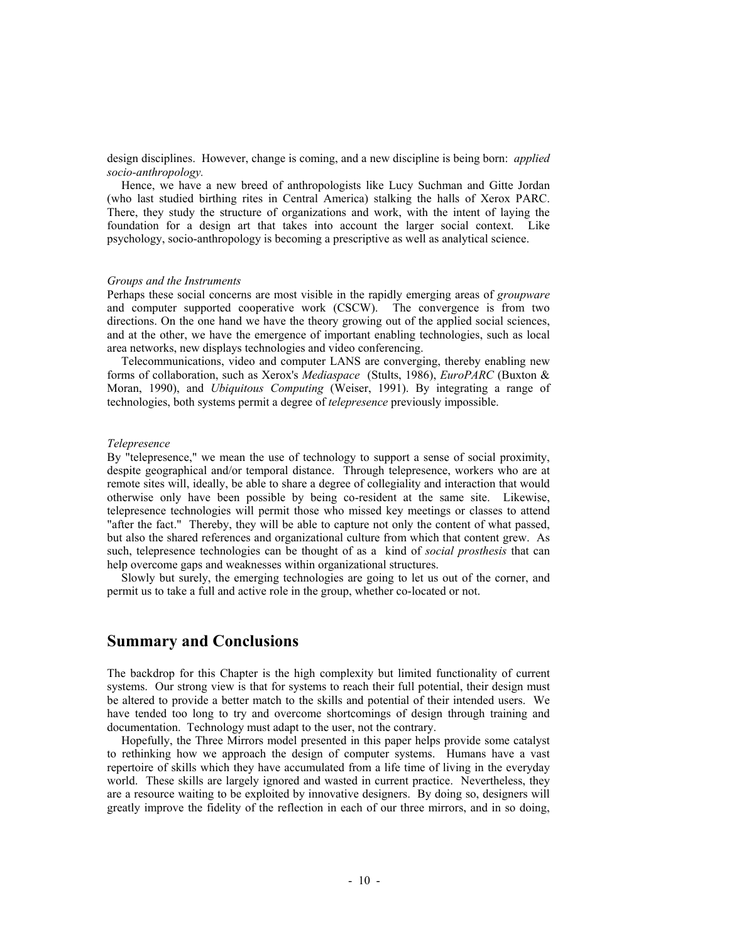design disciplines. However, change is coming, and a new discipline is being born: *applied socio-anthropology.* 

Hence, we have a new breed of anthropologists like Lucy Suchman and Gitte Jordan (who last studied birthing rites in Central America) stalking the halls of Xerox PARC. There, they study the structure of organizations and work, with the intent of laying the foundation for a design art that takes into account the larger social context. Like psychology, socio-anthropology is becoming a prescriptive as well as analytical science.

## *Groups and the Instruments*

Perhaps these social concerns are most visible in the rapidly emerging areas of *groupware* and computer supported cooperative work (CSCW). The convergence is from two directions. On the one hand we have the theory growing out of the applied social sciences, and at the other, we have the emergence of important enabling technologies, such as local area networks, new displays technologies and video conferencing.

Telecommunications, video and computer LANS are converging, thereby enabling new forms of collaboration, such as Xerox's *Mediaspace* (Stults, 1986), *EuroPARC* (Buxton & Moran, 1990), and *Ubiquitous Computing* (Weiser, 1991). By integrating a range of technologies, both systems permit a degree of *telepresence* previously impossible.

## *Telepresence*

By "telepresence," we mean the use of technology to support a sense of social proximity, despite geographical and/or temporal distance. Through telepresence, workers who are at remote sites will, ideally, be able to share a degree of collegiality and interaction that would otherwise only have been possible by being co-resident at the same site. Likewise, telepresence technologies will permit those who missed key meetings or classes to attend "after the fact." Thereby, they will be able to capture not only the content of what passed, but also the shared references and organizational culture from which that content grew. As such, telepresence technologies can be thought of as a kind of *social prosthesis* that can help overcome gaps and weaknesses within organizational structures.

Slowly but surely, the emerging technologies are going to let us out of the corner, and permit us to take a full and active role in the group, whether co-located or not.

## **Summary and Conclusions**

The backdrop for this Chapter is the high complexity but limited functionality of current systems. Our strong view is that for systems to reach their full potential, their design must be altered to provide a better match to the skills and potential of their intended users. We have tended too long to try and overcome shortcomings of design through training and documentation. Technology must adapt to the user, not the contrary.

Hopefully, the Three Mirrors model presented in this paper helps provide some catalyst to rethinking how we approach the design of computer systems. Humans have a vast repertoire of skills which they have accumulated from a life time of living in the everyday world. These skills are largely ignored and wasted in current practice. Nevertheless, they are a resource waiting to be exploited by innovative designers. By doing so, designers will greatly improve the fidelity of the reflection in each of our three mirrors, and in so doing,